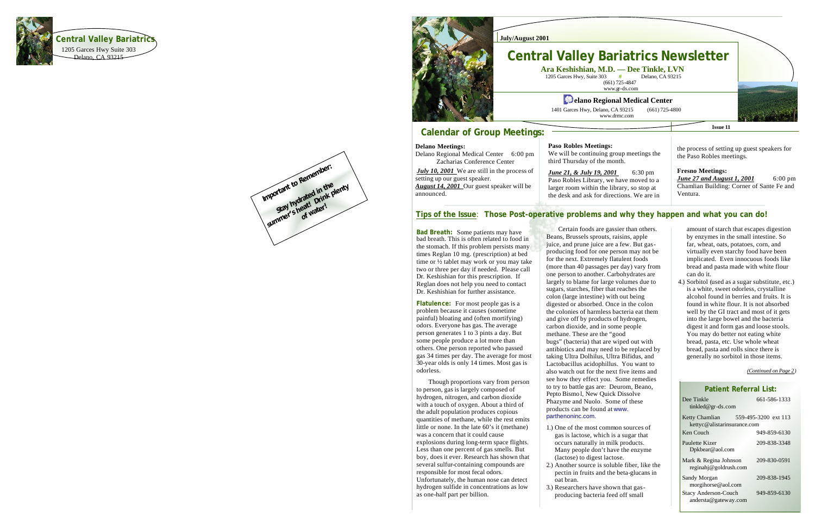#### **July/August 2001**

## **Calendar of Group Meetings:**

# **Central Valley Bariatrics Newsletter Ara Keshishian, M.D. — Dee Tinkle, LVN**

**#** Delano, CA 93215

## **<sup>42</sup>** elano Regional Medical Center

1205 Garces Hwy, Suite 303 (661) 725 -4847 www.gr -ds.com

1401 Garces Hwy, Delano, CA 93215

www.drmc.com

 $(661)$  725-4800

**Issue 11**



*June 21, & July 19, 2001* 6:30 pm Paso Robles Library, we have moved to a larger room within the library, so stop at the desk and ask for directions. We are in

## **Tips of the Issue: Those Post-operative problems and why they happen and what you can do!**

#### **Delano Meetings:**

Delano Regional Medical Center 6:00 pm Zacharias Conference Center

> *June 27 and August 1, 2001* 6:00 pm Chamlian Building: Corner of Sante Fe and Ventura.

*July 10, 2001* We are still in the process of setting up our guest speaker. *August 14, 2001* Our guest speaker will be announced.

#### **Paso Robles Meetings:**

We will be continuing group meetings the third Thursday of the month.

the process of setting up guest speakers for the Paso Robles meetings.

#### **Fresno Meetings:**

**Bad Breath:** Some patients may have bad breath. This is often related to food in the stomach. If this problem persists many times Reglan 10 mg. (prescription) at bed time or ½ tablet may work or you may take two or three per day if needed. Please call Dr. Keshishian for this prescription. If Reglan does not help you need to contact Dr. Keshishian for further assistance.

 Certain foods are gassier than others. Beans, Brussels sprouts, raisins, apple juice, and prune juice are a few. But gas producing food for one person may not be for the next. Extremely flatulent foods (more than 40 passages per day) vary from one person to another. Carbohydrates are largely to blame for large volumes due to sugars, starches, fiber that reaches the colon (large intestine) with out being digested or absorbed. Once in the colon the colonies of harmless bacteria eat them and give off by products of hydrogen, carbon dioxide, and in some people methane. These are the "good bugs" (bacteria) that are wiped out with antibiotics and may need to be replaced by taking Ultra Dolhilus, Ultra Bifidus, and Lactobacillus acidophillus. You want to also watch out for the next five items and see how they effect you. Some remedies to try to battle gas are: Deurom, Beano, Pepto Bismo l, New Quick Dissolve Phazyme and Nuolo. Some of these products can be found at www. parthenoninc.com. 1.) One of the most common sources of

**Flatulence:** For most people gas is a problem because it causes (sometime painful) bloating and (often mortifying) odors. Everyone has gas. The average person generates 1 to 3 pints a day. But some people produce a lot more than others. One person reported who passed gas 34 times per day. The average for most 30 -year olds is only 14 times. Most gas is odorless.

> gas is lactose, which is a sugar that occurs naturally in milk products. Many people don't have the enzyme 2.) Another source is soluble fiber, like the pectin in fruits and the beta -glucans in

- (lactose) to digest lactose.
- oat bran.
- 3.) Researchers have shown that gas producing bacteria feed off small

## **Patient Referral List:**

| Dee Tinkle<br>tinkled@gr-ds.com                      | 661-586-1333         |
|------------------------------------------------------|----------------------|
| <b>Ketty Chamlian</b><br>kettyc@alistarinsurance.com | 559-495-3200 ext 113 |
| Ken Couch                                            | 949-859-6130         |
| Paulette Kizer<br>Dpkbear@aol.com                    | 209-838-3348         |
| Mark & Regina Johnson<br>reginahj@goldrush.com       | 209-830-0591         |
| Sandy Morgan<br>morgihorse@aol.com                   | 209-838-1945         |
| <b>Stacy Anderson-Couch</b><br>andersta@gateway.com  | 949-859-6130         |
|                                                      |                      |

 Though proportions vary from person to person, gas is largely composed of hydrogen, nitrogen, and carbon dioxide with a touch of oxygen. About a third of the adult population produces copious quantities of methane, while the rest emits little or none. In the late 60's it (methane) was a concern that it could cause explosions during long -term space flights. Less than one percent of gas smells. But boy, does it ever. Research has shown that several sulfur-containing compounds are responsible for most fecal odors. Unfortunately, the human nose can detect hydrogen sulfide in concentrations as low as one -half part per billion.



amount of starch that escapes digestion by enzymes in the small intestine. So far, wheat, oats, potatoes, corn, and virtually even starchy food have been implicated. Even innocuous foods like bread and pasta made with white flour can do it.

4.) Sorbitol (used as a sugar substitute, etc.) is a white, sweet odorless, crystalline alcohol found in berries and fruits. It is found in white flour. It is not absorbed well by the GI tract and most of it gets into the large bowel and the bacteria digest it and form gas and loose stools. You may do better not eating white bread, pasta, etc. Use whole wheat bread, pasta and rolls since there is generally no sorbitol in those items.

*(Continued on Page 2 )*